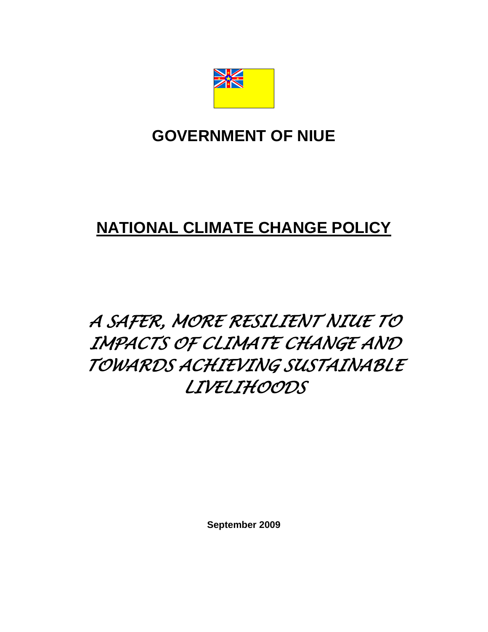

## **GOVERNMENT OF NIUE**

# **NATIONAL CLIMATE CHANGE POLICY**

# *A SAFER, MORE RESILIENT NIUE TO IMPACTS OF CLIMATE CHANGE AND TOWARDS ACHIEVING SUSTAINABLE LIVELIHOODS*

**September 2009**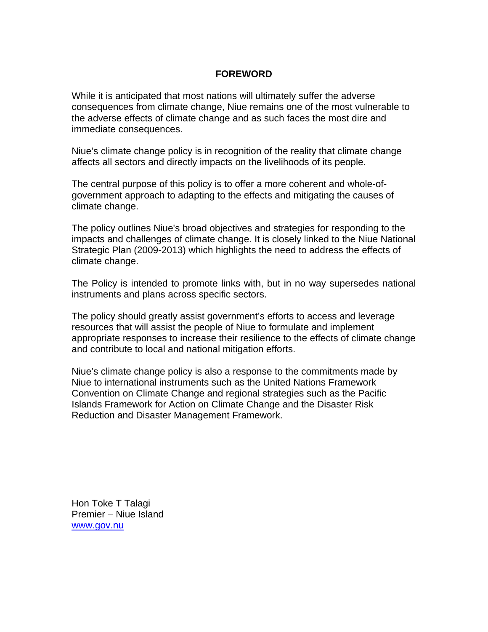#### **FOREWORD**

While it is anticipated that most nations will ultimately suffer the adverse consequences from climate change, Niue remains one of the most vulnerable to the adverse effects of climate change and as such faces the most dire and immediate consequences.

Niue's climate change policy is in recognition of the reality that climate change affects all sectors and directly impacts on the livelihoods of its people.

The central purpose of this policy is to offer a more coherent and whole-ofgovernment approach to adapting to the effects and mitigating the causes of climate change.

The policy outlines Niue's broad objectives and strategies for responding to the impacts and challenges of climate change. It is closely linked to the Niue National Strategic Plan (2009-2013) which highlights the need to address the effects of climate change.

The Policy is intended to promote links with, but in no way supersedes national instruments and plans across specific sectors.

The policy should greatly assist government's efforts to access and leverage resources that will assist the people of Niue to formulate and implement appropriate responses to increase their resilience to the effects of climate change and contribute to local and national mitigation efforts.

Niue's climate change policy is also a response to the commitments made by Niue to international instruments such as the United Nations Framework Convention on Climate Change and regional strategies such as the Pacific Islands Framework for Action on Climate Change and the Disaster Risk Reduction and Disaster Management Framework.

Hon Toke T Talagi Premier – Niue Island www.gov.nu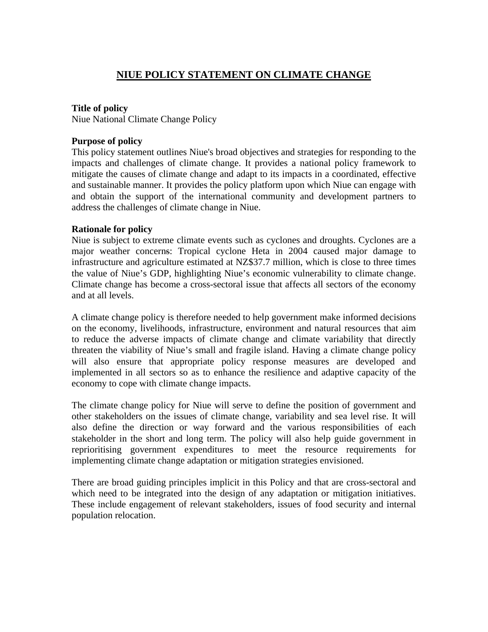## **NIUE POLICY STATEMENT ON CLIMATE CHANGE**

#### **Title of policy**

Niue National Climate Change Policy

#### **Purpose of policy**

This policy statement outlines Niue's broad objectives and strategies for responding to the impacts and challenges of climate change. It provides a national policy framework to mitigate the causes of climate change and adapt to its impacts in a coordinated, effective and sustainable manner. It provides the policy platform upon which Niue can engage with and obtain the support of the international community and development partners to address the challenges of climate change in Niue.

#### **Rationale for policy**

Niue is subject to extreme climate events such as cyclones and droughts. Cyclones are a major weather concerns: Tropical cyclone Heta in 2004 caused major damage to infrastructure and agriculture estimated at NZ\$37.7 million, which is close to three times the value of Niue's GDP, highlighting Niue's economic vulnerability to climate change. Climate change has become a cross-sectoral issue that affects all sectors of the economy and at all levels.

A climate change policy is therefore needed to help government make informed decisions on the economy, livelihoods, infrastructure, environment and natural resources that aim to reduce the adverse impacts of climate change and climate variability that directly threaten the viability of Niue's small and fragile island. Having a climate change policy will also ensure that appropriate policy response measures are developed and implemented in all sectors so as to enhance the resilience and adaptive capacity of the economy to cope with climate change impacts.

The climate change policy for Niue will serve to define the position of government and other stakeholders on the issues of climate change, variability and sea level rise. It will also define the direction or way forward and the various responsibilities of each stakeholder in the short and long term. The policy will also help guide government in reprioritising government expenditures to meet the resource requirements for implementing climate change adaptation or mitigation strategies envisioned.

There are broad guiding principles implicit in this Policy and that are cross-sectoral and which need to be integrated into the design of any adaptation or mitigation initiatives. These include engagement of relevant stakeholders, issues of food security and internal population relocation.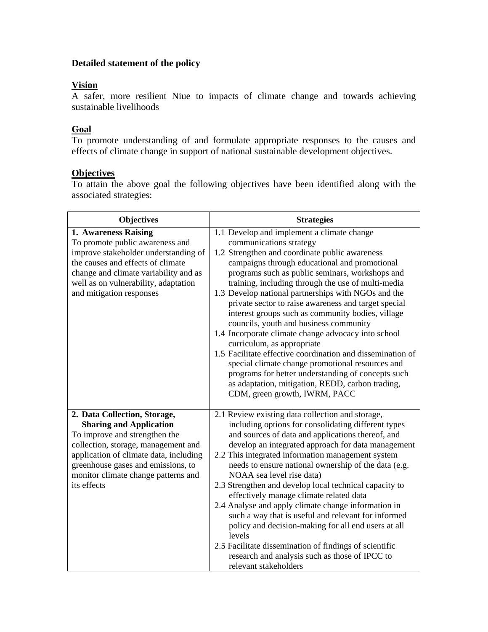### **Detailed statement of the policy**

#### **Vision**

A safer, more resilient Niue to impacts of climate change and towards achieving sustainable livelihoods

#### **Goal**

To promote understanding of and formulate appropriate responses to the causes and effects of climate change in support of national sustainable development objectives.

#### **Objectives**

To attain the above goal the following objectives have been identified along with the associated strategies:

| <b>Objectives</b>                      | <b>Strategies</b>                                                                                        |  |  |
|----------------------------------------|----------------------------------------------------------------------------------------------------------|--|--|
| 1. Awareness Raising                   | 1.1 Develop and implement a climate change                                                               |  |  |
| To promote public awareness and        | communications strategy                                                                                  |  |  |
| improve stakeholder understanding of   | 1.2 Strengthen and coordinate public awareness                                                           |  |  |
| the causes and effects of climate      | campaigns through educational and promotional                                                            |  |  |
| change and climate variability and as  | programs such as public seminars, workshops and                                                          |  |  |
| well as on vulnerability, adaptation   | training, including through the use of multi-media                                                       |  |  |
| and mitigation responses               | 1.3 Develop national partnerships with NGOs and the                                                      |  |  |
|                                        | private sector to raise awareness and target special                                                     |  |  |
|                                        | interest groups such as community bodies, village                                                        |  |  |
|                                        | councils, youth and business community                                                                   |  |  |
|                                        | 1.4 Incorporate climate change advocacy into school                                                      |  |  |
|                                        | curriculum, as appropriate                                                                               |  |  |
|                                        | 1.5 Facilitate effective coordination and dissemination of                                               |  |  |
|                                        | special climate change promotional resources and                                                         |  |  |
|                                        | programs for better understanding of concepts such                                                       |  |  |
|                                        | as adaptation, mitigation, REDD, carbon trading,<br>CDM, green growth, IWRM, PACC                        |  |  |
|                                        |                                                                                                          |  |  |
| 2. Data Collection, Storage,           | 2.1 Review existing data collection and storage,                                                         |  |  |
| <b>Sharing and Application</b>         | including options for consolidating different types                                                      |  |  |
| To improve and strengthen the          | and sources of data and applications thereof, and                                                        |  |  |
| collection, storage, management and    | develop an integrated approach for data management                                                       |  |  |
| application of climate data, including | 2.2 This integrated information management system                                                        |  |  |
| greenhouse gases and emissions, to     | needs to ensure national ownership of the data (e.g.                                                     |  |  |
| monitor climate change patterns and    | NOAA sea level rise data)                                                                                |  |  |
| its effects                            | 2.3 Strengthen and develop local technical capacity to                                                   |  |  |
|                                        | effectively manage climate related data                                                                  |  |  |
|                                        | 2.4 Analyse and apply climate change information in                                                      |  |  |
|                                        | such a way that is useful and relevant for informed                                                      |  |  |
|                                        | policy and decision-making for all end users at all                                                      |  |  |
|                                        | levels                                                                                                   |  |  |
|                                        | 2.5 Facilitate dissemination of findings of scientific<br>research and analysis such as those of IPCC to |  |  |
|                                        | relevant stakeholders                                                                                    |  |  |
|                                        |                                                                                                          |  |  |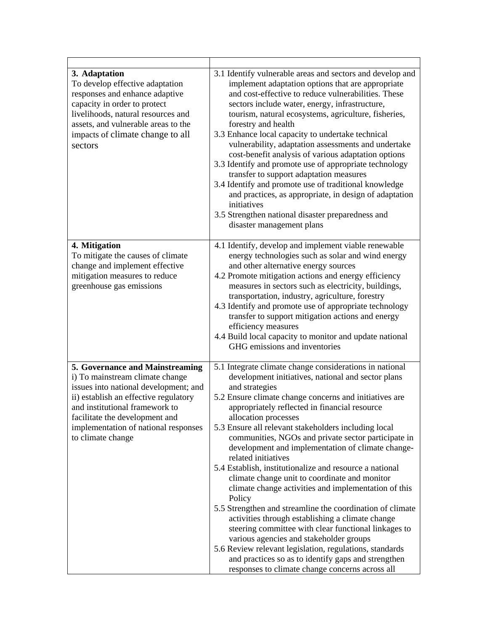| 3. Adaptation<br>To develop effective adaptation<br>responses and enhance adaptive<br>capacity in order to protect<br>livelihoods, natural resources and<br>assets, and vulnerable areas to the<br>impacts of climate change to all<br>sectors | 3.1 Identify vulnerable areas and sectors and develop and<br>implement adaptation options that are appropriate<br>and cost-effective to reduce vulnerabilities. These<br>sectors include water, energy, infrastructure,<br>tourism, natural ecosystems, agriculture, fisheries,<br>forestry and health<br>3.3 Enhance local capacity to undertake technical<br>vulnerability, adaptation assessments and undertake<br>cost-benefit analysis of various adaptation options<br>3.3 Identify and promote use of appropriate technology<br>transfer to support adaptation measures<br>3.4 Identify and promote use of traditional knowledge<br>and practices, as appropriate, in design of adaptation<br>initiatives<br>3.5 Strengthen national disaster preparedness and<br>disaster management plans |
|------------------------------------------------------------------------------------------------------------------------------------------------------------------------------------------------------------------------------------------------|----------------------------------------------------------------------------------------------------------------------------------------------------------------------------------------------------------------------------------------------------------------------------------------------------------------------------------------------------------------------------------------------------------------------------------------------------------------------------------------------------------------------------------------------------------------------------------------------------------------------------------------------------------------------------------------------------------------------------------------------------------------------------------------------------|
| 4. Mitigation                                                                                                                                                                                                                                  | 4.1 Identify, develop and implement viable renewable                                                                                                                                                                                                                                                                                                                                                                                                                                                                                                                                                                                                                                                                                                                                               |
| To mitigate the causes of climate<br>change and implement effective<br>mitigation measures to reduce<br>greenhouse gas emissions                                                                                                               | energy technologies such as solar and wind energy<br>and other alternative energy sources<br>4.2 Promote mitigation actions and energy efficiency<br>measures in sectors such as electricity, buildings,<br>transportation, industry, agriculture, forestry<br>4.3 Identify and promote use of appropriate technology<br>transfer to support mitigation actions and energy<br>efficiency measures<br>4.4 Build local capacity to monitor and update national<br>GHG emissions and inventories                                                                                                                                                                                                                                                                                                      |
| 5. Governance and Mainstreaming                                                                                                                                                                                                                | 5.1 Integrate climate change considerations in national                                                                                                                                                                                                                                                                                                                                                                                                                                                                                                                                                                                                                                                                                                                                            |
| i) To mainstream climate change<br>issues into national development; and                                                                                                                                                                       | development initiatives, national and sector plans<br>and strategies                                                                                                                                                                                                                                                                                                                                                                                                                                                                                                                                                                                                                                                                                                                               |
| ii) establish an effective regulatory<br>and institutional framework to<br>facilitate the development and                                                                                                                                      | 5.2 Ensure climate change concerns and initiatives are<br>appropriately reflected in financial resource<br>allocation processes                                                                                                                                                                                                                                                                                                                                                                                                                                                                                                                                                                                                                                                                    |
| implementation of national responses<br>to climate change                                                                                                                                                                                      | 5.3 Ensure all relevant stakeholders including local<br>communities, NGOs and private sector participate in<br>development and implementation of climate change-<br>related initiatives                                                                                                                                                                                                                                                                                                                                                                                                                                                                                                                                                                                                            |
|                                                                                                                                                                                                                                                | 5.4 Establish, institutionalize and resource a national<br>climate change unit to coordinate and monitor                                                                                                                                                                                                                                                                                                                                                                                                                                                                                                                                                                                                                                                                                           |
|                                                                                                                                                                                                                                                | climate change activities and implementation of this<br>Policy                                                                                                                                                                                                                                                                                                                                                                                                                                                                                                                                                                                                                                                                                                                                     |
|                                                                                                                                                                                                                                                | 5.5 Strengthen and streamline the coordination of climate                                                                                                                                                                                                                                                                                                                                                                                                                                                                                                                                                                                                                                                                                                                                          |
|                                                                                                                                                                                                                                                | activities through establishing a climate change                                                                                                                                                                                                                                                                                                                                                                                                                                                                                                                                                                                                                                                                                                                                                   |
|                                                                                                                                                                                                                                                | steering committee with clear functional linkages to<br>various agencies and stakeholder groups                                                                                                                                                                                                                                                                                                                                                                                                                                                                                                                                                                                                                                                                                                    |
|                                                                                                                                                                                                                                                | 5.6 Review relevant legislation, regulations, standards                                                                                                                                                                                                                                                                                                                                                                                                                                                                                                                                                                                                                                                                                                                                            |
|                                                                                                                                                                                                                                                | and practices so as to identify gaps and strengthen                                                                                                                                                                                                                                                                                                                                                                                                                                                                                                                                                                                                                                                                                                                                                |
|                                                                                                                                                                                                                                                | responses to climate change concerns across all                                                                                                                                                                                                                                                                                                                                                                                                                                                                                                                                                                                                                                                                                                                                                    |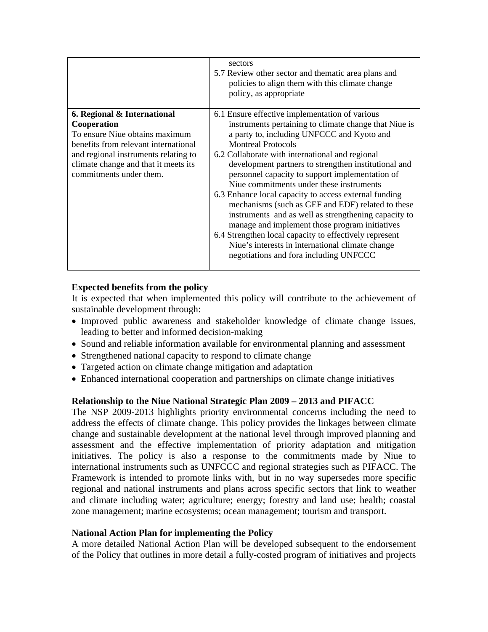|                                                                                                                                                                                                                                 | sectors<br>5.7 Review other sector and thematic area plans and<br>policies to align them with this climate change<br>policy, as appropriate                                                                                                                                                                                                                                                                                                                                                                                                                                                                                                                                                                                                                                  |
|---------------------------------------------------------------------------------------------------------------------------------------------------------------------------------------------------------------------------------|------------------------------------------------------------------------------------------------------------------------------------------------------------------------------------------------------------------------------------------------------------------------------------------------------------------------------------------------------------------------------------------------------------------------------------------------------------------------------------------------------------------------------------------------------------------------------------------------------------------------------------------------------------------------------------------------------------------------------------------------------------------------------|
| 6. Regional & International<br>Cooperation<br>To ensure Niue obtains maximum<br>benefits from relevant international<br>and regional instruments relating to<br>climate change and that it meets its<br>commitments under them. | 6.1 Ensure effective implementation of various<br>instruments pertaining to climate change that Niue is<br>a party to, including UNFCCC and Kyoto and<br><b>Montreal Protocols</b><br>6.2 Collaborate with international and regional<br>development partners to strengthen institutional and<br>personnel capacity to support implementation of<br>Niue commitments under these instruments<br>6.3 Enhance local capacity to access external funding<br>mechanisms (such as GEF and EDF) related to these<br>instruments and as well as strengthening capacity to<br>manage and implement those program initiatives<br>6.4 Strengthen local capacity to effectively represent<br>Niue's interests in international climate change<br>negotiations and fora including UNFCCC |

#### **Expected benefits from the policy**

It is expected that when implemented this policy will contribute to the achievement of sustainable development through:

- Improved public awareness and stakeholder knowledge of climate change issues, leading to better and informed decision-making
- Sound and reliable information available for environmental planning and assessment
- Strengthened national capacity to respond to climate change
- Targeted action on climate change mitigation and adaptation
- Enhanced international cooperation and partnerships on climate change initiatives

#### **Relationship to the Niue National Strategic Plan 2009 – 2013 and PIFACC**

The NSP 2009-2013 highlights priority environmental concerns including the need to address the effects of climate change. This policy provides the linkages between climate change and sustainable development at the national level through improved planning and assessment and the effective implementation of priority adaptation and mitigation initiatives. The policy is also a response to the commitments made by Niue to international instruments such as UNFCCC and regional strategies such as PIFACC. The Framework is intended to promote links with, but in no way supersedes more specific regional and national instruments and plans across specific sectors that link to weather and climate including water; agriculture; energy; forestry and land use; health; coastal zone management; marine ecosystems; ocean management; tourism and transport.

#### **National Action Plan for implementing the Policy**

A more detailed National Action Plan will be developed subsequent to the endorsement of the Policy that outlines in more detail a fully-costed program of initiatives and projects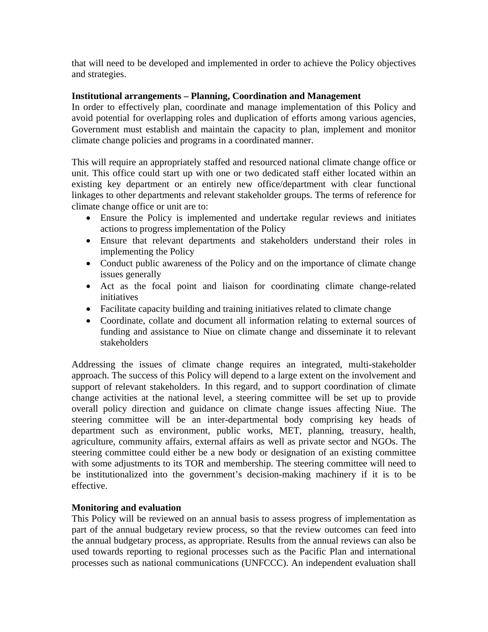that will need to be developed and implemented in order to achieve the Policy objectives and strategies.

#### **Institutional arrangements – Planning, Coordination and Management**

In order to effectively plan, coordinate and manage implementation of this Policy and avoid potential for overlapping roles and duplication of efforts among various agencies, Government must establish and maintain the capacity to plan, implement and monitor climate change policies and programs in a coordinated manner.

This will require an appropriately staffed and resourced national climate change office or unit. This office could start up with one or two dedicated staff either located within an existing key department or an entirely new office/department with clear functional linkages to other departments and relevant stakeholder groups. The terms of reference for climate change office or unit are to:

- Ensure the Policy is implemented and undertake regular reviews and initiates actions to progress implementation of the Policy
- Ensure that relevant departments and stakeholders understand their roles in implementing the Policy
- Conduct public awareness of the Policy and on the importance of climate change issues generally
- Act as the focal point and liaison for coordinating climate change-related initiatives
- Facilitate capacity building and training initiatives related to climate change
- Coordinate, collate and document all information relating to external sources of funding and assistance to Niue on climate change and disseminate it to relevant stakeholders

Addressing the issues of climate change requires an integrated, multi-stakeholder approach. The success of this Policy will depend to a large extent on the involvement and support of relevant stakeholders. In this regard, and to support coordination of climate change activities at the national level, a steering committee will be set up to provide overall policy direction and guidance on climate change issues affecting Niue. The steering committee will be an inter-departmental body comprising key heads of department such as environment, public works, MET, planning, treasury, health, agriculture, community affairs, external affairs as well as private sector and NGOs. The steering committee could either be a new body or designation of an existing committee with some adjustments to its TOR and membership. The steering committee will need to be institutionalized into the government's decision-making machinery if it is to be effective.

#### **Monitoring and evaluation**

This Policy will be reviewed on an annual basis to assess progress of implementation as part of the annual budgetary review process, so that the review outcomes can feed into the annual budgetary process, as appropriate. Results from the annual reviews can also be used towards reporting to regional processes such as the Pacific Plan and international processes such as national communications (UNFCCC). An independent evaluation shall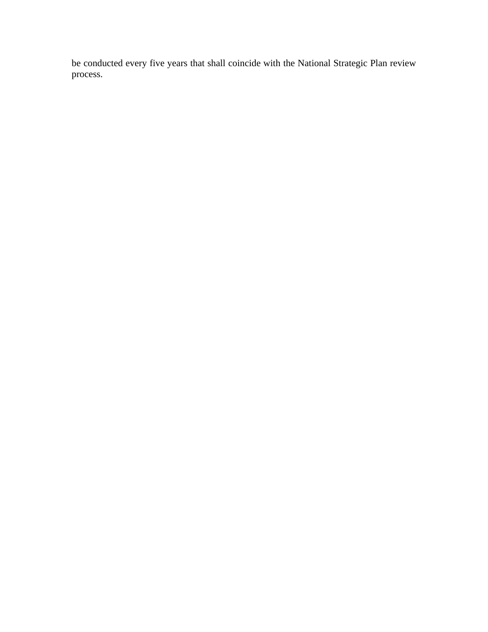be conducted every five years that shall coincide with the National Strategic Plan review process.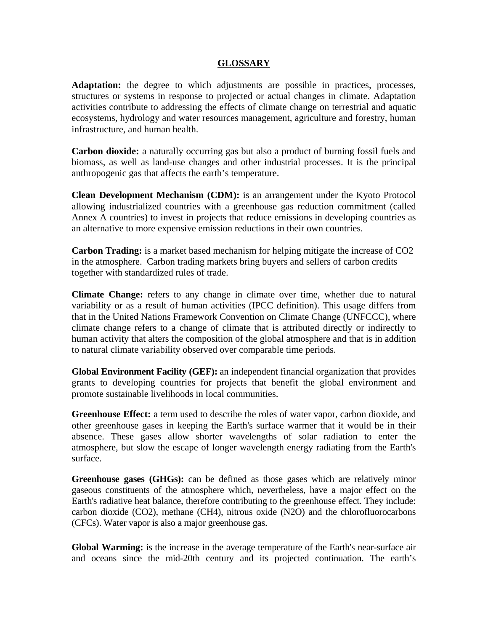#### **GLOSSARY**

**Adaptation:** the degree to which adjustments are possible in practices, processes, structures or systems in response to projected or actual changes in climate. Adaptation activities contribute to addressing the effects of climate change on terrestrial and aquatic ecosystems, hydrology and water resources management, agriculture and forestry, human infrastructure, and human health.

**Carbon dioxide:** a naturally occurring gas but also a product of burning fossil fuels and biomass, as well as land-use changes and other industrial processes. It is the principal anthropogenic gas that affects the earth's temperature.

**Clean Development Mechanism (CDM):** is an arrangement under the Kyoto Protocol allowing industrialized countries with a greenhouse gas reduction commitment (called Annex A countries) to invest in projects that reduce emissions in developing countries as an alternative to more expensive emission reductions in their own countries.

**Carbon Trading:** is a market based mechanism for helping mitigate the increase of CO2 in the atmosphere. Carbon trading markets bring buyers and sellers of carbon credits together with standardized rules of trade.

**Climate Change:** refers to any change in climate over time, whether due to natural variability or as a result of human activities (IPCC definition). This usage differs from that in the United Nations Framework Convention on Climate Change (UNFCCC), where climate change refers to a change of climate that is attributed directly or indirectly to human activity that alters the composition of the global atmosphere and that is in addition to natural climate variability observed over comparable time periods.

**Global Environment Facility (GEF):** an independent financial organization that provides grants to developing countries for projects that benefit the global environment and promote sustainable livelihoods in local communities.

**Greenhouse Effect:** a term used to describe the roles of water vapor, carbon dioxide, and other greenhouse gases in keeping the Earth's surface warmer that it would be in their absence. These gases allow shorter wavelengths of solar radiation to enter the atmosphere, but slow the escape of longer wavelength energy radiating from the Earth's surface.

**Greenhouse gases (GHGs):** can be defined as those gases which are relatively minor gaseous constituents of the atmosphere which, nevertheless, have a major effect on the Earth's radiative heat balance, therefore contributing to the greenhouse effect. They include: carbon dioxide (CO2), methane (CH4), nitrous oxide (N2O) and the chlorofluorocarbons (CFCs). Water vapor is also a major greenhouse gas.

**Global Warming:** is the increase in the average temperature of the Earth's near-surface air and oceans since the mid-20th century and its projected continuation. The earth's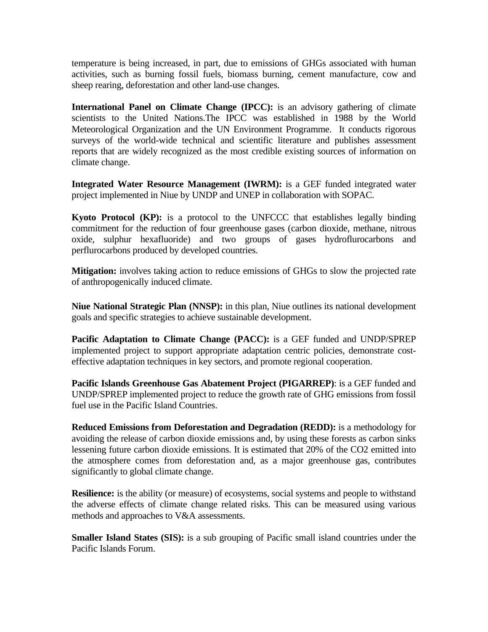temperature is being increased, in part, due to emissions of GHGs associated with human activities, such as burning fossil fuels, biomass burning, cement manufacture, cow and sheep rearing, deforestation and other land-use changes.

**International Panel on Climate Change (IPCC):** is an advisory gathering of climate scientists to the United Nations.The IPCC was established in 1988 by the World Meteorological Organization and the UN Environment Programme. It conducts rigorous surveys of the world-wide technical and scientific literature and publishes assessment reports that are widely recognized as the most credible existing sources of information on climate change.

**Integrated Water Resource Management (IWRM):** is a GEF funded integrated water project implemented in Niue by UNDP and UNEP in collaboration with SOPAC.

**Kyoto Protocol (KP):** is a protocol to the UNFCCC that establishes legally binding commitment for the reduction of four greenhouse gases (carbon dioxide, methane, nitrous oxide, sulphur hexafluoride) and two groups of gases hydroflurocarbons and perflurocarbons produced by developed countries.

**Mitigation:** involves taking action to reduce emissions of GHGs to slow the projected rate of anthropogenically induced climate.

**Niue National Strategic Plan (NNSP):** in this plan, Niue outlines its national development goals and specific strategies to achieve sustainable development.

**Pacific Adaptation to Climate Change (PACC):** is a GEF funded and UNDP/SPREP implemented project to support appropriate adaptation centric policies, demonstrate costeffective adaptation techniques in key sectors, and promote regional cooperation.

**Pacific Islands Greenhouse Gas Abatement Project (PIGARREP)**: is a GEF funded and UNDP/SPREP implemented project to reduce the growth rate of GHG emissions from fossil fuel use in the Pacific Island Countries.

**Reduced Emissions from Deforestation and Degradation (REDD):** is a methodology for avoiding the release of carbon dioxide emissions and, by using these forests as carbon sinks lessening future carbon dioxide emissions. It is estimated that 20% of the CO2 emitted into the atmosphere comes from deforestation and, as a major greenhouse gas, contributes significantly to global climate change.

**Resilience:** is the ability (or measure) of ecosystems, social systems and people to withstand the adverse effects of climate change related risks. This can be measured using various methods and approaches to V&A assessments.

**Smaller Island States (SIS):** is a sub grouping of Pacific small island countries under the Pacific Islands Forum.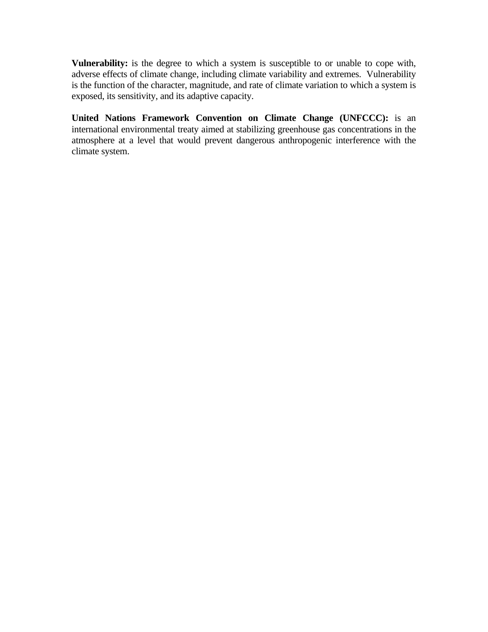**Vulnerability:** is the degree to which a system is susceptible to or unable to cope with, adverse effects of climate change, including climate variability and extremes. Vulnerability is the function of the character, magnitude, and rate of climate variation to which a system is exposed, its sensitivity, and its adaptive capacity.

**United Nations Framework Convention on Climate Change (UNFCCC):** is an international environmental treaty aimed at stabilizing greenhouse gas concentrations in the atmosphere at a level that would prevent dangerous anthropogenic interference with the climate system.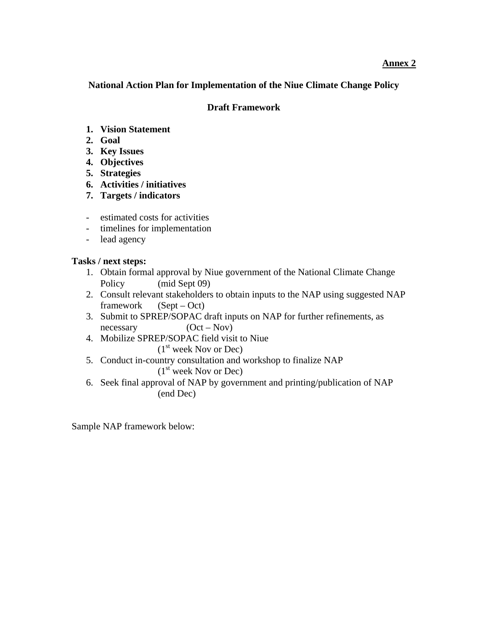#### **Annex 2**

**National Action Plan for Implementation of the Niue Climate Change Policy** 

#### **Draft Framework**

- **1. Vision Statement**
- **2. Goal**
- **3. Key Issues**
- **4. Objectives**
- **5. Strategies**
- **6. Activities / initiatives**
- **7. Targets / indicators**
- estimated costs for activities
- timelines for implementation
- lead agency

#### **Tasks / next steps:**

- 1. Obtain formal approval by Niue government of the National Climate Change Policy (mid Sept 09)
- 2. Consult relevant stakeholders to obtain inputs to the NAP using suggested NAP framework (Sept – Oct)
- 3. Submit to SPREP/SOPAC draft inputs on NAP for further refinements, as  $n$ ecessary  $(Oct - Nov)$
- 4. Mobilize SPREP/SOPAC field visit to Niue  $(1<sup>st</sup> week Nov or Dec)$
- 5. Conduct in-country consultation and workshop to finalize NAP  $(1<sup>st</sup> week Nov or Dec)$
- 6. Seek final approval of NAP by government and printing/publication of NAP (end Dec)

Sample NAP framework below: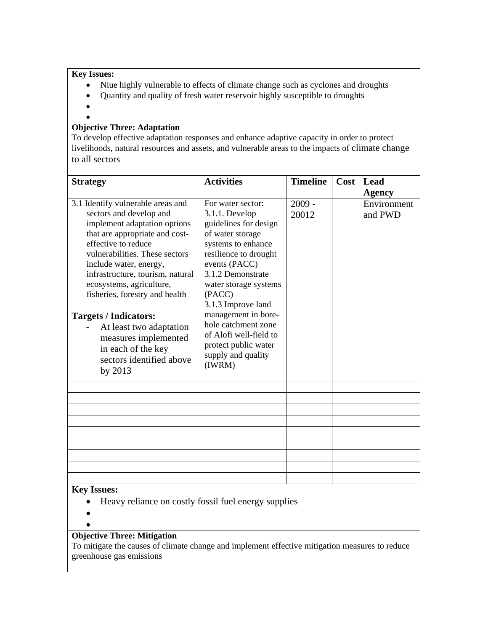#### **Key Issues:**

- Niue highly vulnerable to effects of climate change such as cyclones and droughts
- Quantity and quality of fresh water reservoir highly susceptible to droughts
- $\bullet$  $\bullet$

#### **Objective Three: Adaptation**

To develop effective adaptation responses and enhance adaptive capacity in order to protect livelihoods, natural resources and assets, and vulnerable areas to the impacts of climate change to all sectors

| <b>Strategy</b>                                                                                                                                                                                                                                                                                                                                                                                                                                                     | <b>Activities</b>                                                                                                                                                                                                                                                                                                                                              | <b>Timeline</b>   | Cost | Lead                   |
|---------------------------------------------------------------------------------------------------------------------------------------------------------------------------------------------------------------------------------------------------------------------------------------------------------------------------------------------------------------------------------------------------------------------------------------------------------------------|----------------------------------------------------------------------------------------------------------------------------------------------------------------------------------------------------------------------------------------------------------------------------------------------------------------------------------------------------------------|-------------------|------|------------------------|
|                                                                                                                                                                                                                                                                                                                                                                                                                                                                     |                                                                                                                                                                                                                                                                                                                                                                |                   |      | <b>Agency</b>          |
| 3.1 Identify vulnerable areas and<br>sectors and develop and<br>implement adaptation options<br>that are appropriate and cost-<br>effective to reduce<br>vulnerabilities. These sectors<br>include water, energy,<br>infrastructure, tourism, natural<br>ecosystems, agriculture,<br>fisheries, forestry and health<br><b>Targets / Indicators:</b><br>At least two adaptation<br>measures implemented<br>in each of the key<br>sectors identified above<br>by 2013 | For water sector:<br>3.1.1. Develop<br>guidelines for design<br>of water storage<br>systems to enhance<br>resilience to drought<br>events (PACC)<br>3.1.2 Demonstrate<br>water storage systems<br>(PACC)<br>3.1.3 Improve land<br>management in bore-<br>hole catchment zone<br>of Alofi well-field to<br>protect public water<br>supply and quality<br>(IWRM) | $2009 -$<br>20012 |      | Environment<br>and PWD |
|                                                                                                                                                                                                                                                                                                                                                                                                                                                                     |                                                                                                                                                                                                                                                                                                                                                                |                   |      |                        |
|                                                                                                                                                                                                                                                                                                                                                                                                                                                                     |                                                                                                                                                                                                                                                                                                                                                                |                   |      |                        |
|                                                                                                                                                                                                                                                                                                                                                                                                                                                                     |                                                                                                                                                                                                                                                                                                                                                                |                   |      |                        |
|                                                                                                                                                                                                                                                                                                                                                                                                                                                                     |                                                                                                                                                                                                                                                                                                                                                                |                   |      |                        |
|                                                                                                                                                                                                                                                                                                                                                                                                                                                                     |                                                                                                                                                                                                                                                                                                                                                                |                   |      |                        |
|                                                                                                                                                                                                                                                                                                                                                                                                                                                                     |                                                                                                                                                                                                                                                                                                                                                                |                   |      |                        |
|                                                                                                                                                                                                                                                                                                                                                                                                                                                                     |                                                                                                                                                                                                                                                                                                                                                                |                   |      |                        |
| <b>Key Issues:</b>                                                                                                                                                                                                                                                                                                                                                                                                                                                  |                                                                                                                                                                                                                                                                                                                                                                |                   |      |                        |

#### **Key Issues:**

- Heavy reliance on costly fossil fuel energy supplies
- $\bullet$  $\bullet$

#### **Objective Three: Mitigation**

To mitigate the causes of climate change and implement effective mitigation measures to reduce greenhouse gas emissions